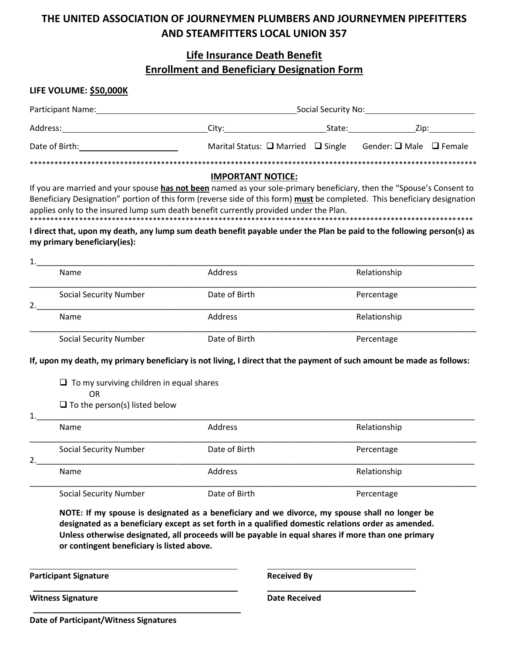# THE UNITED ASSOCIATION OF JOURNEYMEN PLUMBERS AND JOURNEYMEN PIPEFITTERS **AND STEAMFITTERS LOCAL UNION 357**

## **Life Insurance Death Benefit Enrollment and Beneficiary Designation Form**

#### LIFE VOLUME: \$50,000K

| <b>Participant Name:</b> | Social Security No:                          |        |                                   |  |  |
|--------------------------|----------------------------------------------|--------|-----------------------------------|--|--|
| Address:                 | City:                                        | State: | Zip:                              |  |  |
| Date of Birth:           | Marital Status: $\Box$ Married $\Box$ Single |        | Gender: $\Box$ Male $\Box$ Female |  |  |
|                          |                                              |        |                                   |  |  |

## **IMPORTANT NOTICE:**

If you are married and your spouse has not been named as your sole-primary beneficiary, then the "Spouse's Consent to Beneficiary Designation" portion of this form (reverse side of this form) must be completed. This beneficiary designation applies only to the insured lump sum death benefit currently provided under the Plan.

#### I direct that, upon my death, any lump sum death benefit payable under the Plan be paid to the following person(s) as my primary beneficiary(ies):

#### $1_{-}$ Name **Address** Relationship Date of Birth **Social Security Number** Percentage 2. Address Name Relationship **Social Security Number** Date of Birth Percentage

## If, upon my death, my primary beneficiary is not living, I direct that the payment of such amount be made as follows:

 $\Box$  To my surviving children in equal shares  $\bigcap$ 

 $\Box$  To the person(s) listed below

| .  |                               |               |              |  |
|----|-------------------------------|---------------|--------------|--|
|    | <b>Name</b>                   | Address       | Relationship |  |
| 2. | <b>Social Security Number</b> | Date of Birth | Percentage   |  |
|    | Address<br>Name               |               | Relationship |  |
|    | <b>Social Security Number</b> | Date of Birth | Percentage   |  |

NOTE: If my spouse is designated as a beneficiary and we divorce, my spouse shall no longer be designated as a beneficiary except as set forth in a qualified domestic relations order as amended. Unless otherwise designated, all proceeds will be payable in equal shares if more than one primary or contingent beneficiary is listed above.

**Participant Signature** 

**Witness Signature** 

 $\mathbf{1}$ 

**Received By** 

**Date Received** 

**Date of Participant/Witness Signatures**